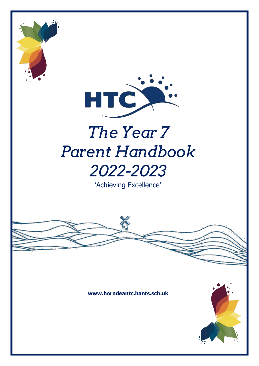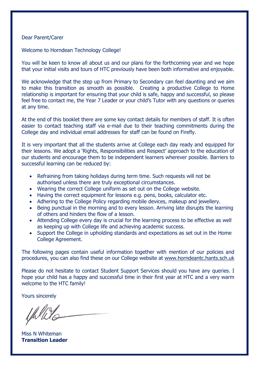#### Dear Parent/Carer

Welcome to Horndean Technology College!

You will be keen to know all about us and our plans for the forthcoming year and we hope that your initial visits and tours of HTC previously have been both informative and enjoyable.

We acknowledge that the step up from Primary to Secondary can feel daunting and we aim to make this transition as smooth as possible. Creating a productive College to Home relationship is important for ensuring that your child is safe, happy and successful, so please feel free to contact me, the Year 7 Leader or your child's Tutor with any questions or queries at any time.

At the end of this booklet there are some key contact details for members of staff. It is often easier to contact teaching staff via e-mail due to their teaching commitments during the College day and individual email addresses for staff can be found on Firefly.

It is very important that all the students arrive at College each day ready and equipped for their lessons. We adopt a 'Rights, Responsibilities and Respect' approach to the education of our students and encourage them to be independent learners wherever possible. Barriers to successful learning can be reduced by:

- Refraining from taking holidays during term time. Such requests will not be authorised unless there are truly exceptional circumstances.
- Wearing the correct College uniform as set out on the College website.
- Having the correct equipment for lessons e.g. pens, books, calculator etc.
- Adhering to the College Policy regarding mobile devices, makeup and jewellery.
- Being punctual in the morning and to every lesson. Arriving late disrupts the learning of others and hinders the flow of a lesson.
- Attending College every day is crucial for the learning process to be effective as well as keeping up with College life and achieving academic success.
- Support the College in upholding standards and expectations as set out in the Home College Agreement.

The following pages contain useful information together with mention of our policies and procedures, you can also find these on our College website at [www.horndeantc.hants.sch.uk](http://www.horndeantc.hants.sch.uk/)

Please do not hesitate to contact Student Support Services should you have any queries. I hope your child has a happy and successful time in their first year at HTC and a very warm welcome to the HTC family!

Yours sincerely

lhelli

Miss N Whiteman **Transition Leader**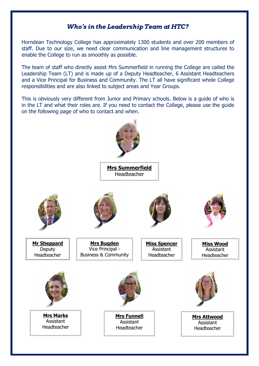## **W ho's in the Leadership Team at HTC?**

Horndean Technology College has approximately 1300 students and over 200 members of staff. Due to our size, we need clear communication and line management structures to enable the College to run as smoothly as possible.

The team of staff who directly assist Mrs Summerfield in running the College are called the Leadership Team (LT) and is made up of a Deputy Headteacher, 6 Assistant Headteachers and a Vice Principal for Business and Community. The LT all have significant whole College responsibilities and are also linked to subject areas and Year Groups.

This is obviously very different from Junior and Primary schools. Below is a guide of who is in the LT and what their roles are. If you need to contact the College, please use the guide on the following page of who to contact and when.

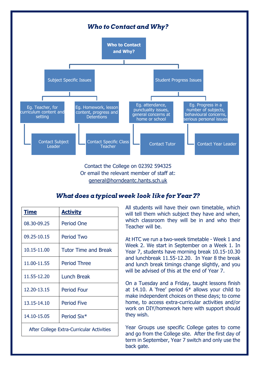

Contact the College on 02392 594325 Or email the relevant member of staff at: [general@horndeantc.hants.sch.uk](mailto:general@horndeantc.hants.sch.uk)

## **W hat does a typical week look like for Year 7?**

| <b>Time</b>                               | <b>Activity</b>             |  |
|-------------------------------------------|-----------------------------|--|
| 08.30-09.25                               | <b>Period One</b>           |  |
| 09.25-10.15                               | <b>Period Two</b>           |  |
| 10.15-11.00                               | <b>Tutor Time and Break</b> |  |
| 11.00-11.55                               | <b>Period Three</b>         |  |
| 11.55-12.20                               | <b>Lunch Break</b>          |  |
| 12.20-13.15                               | <b>Period Four</b>          |  |
| 13.15-14.10                               | <b>Period Five</b>          |  |
| 14.10-15.05                               | Period Six*                 |  |
| After College Extra-Curricular Activities |                             |  |

All students will have their own timetable, which will tell them which subject they have and when, which classroom they will be in and who their Teacher will be.

At HTC we run a two-week timetable - Week 1 and Week 2. We start in September on a Week 1. In Year 7, students have morning break 10.15-10.30 and lunchbreak 11.55-12.20. In Year 8 the break and lunch break timings change slightly, and you will be advised of this at the end of Year 7.

On a Tuesday and a Friday, taught lessons finish at 14.10. A 'free' period  $6*$  allows your child to make independent choices on these days; to come home, to access extra-curricular activities and/or work on DIY/homework here with support should they wish.

Year Groups use specific College gates to come and go from the College site. After the first day of term in September, Year 7 switch and only use the back gate.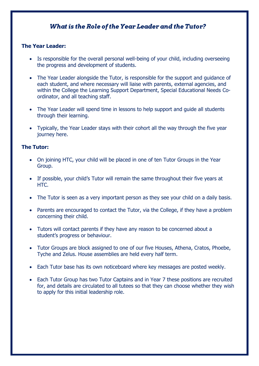## **W hat is the Role of the Year Leader and the Tutor?**

### **The Year Leader:**

- Is responsible for the overall personal well-being of your child, including overseeing the progress and development of students.
- The Year Leader alongside the Tutor, is responsible for the support and guidance of each student, and where necessary will liaise with parents, external agencies, and within the College the Learning Support Department, Special Educational Needs Coordinator, and all teaching staff.
- The Year Leader will spend time in lessons to help support and quide all students through their learning.
- Typically, the Year Leader stays with their cohort all the way through the five year journey here.

#### **The Tutor:**

- On joining HTC, your child will be placed in one of ten Tutor Groups in the Year Group.
- If possible, your child's Tutor will remain the same throughout their five years at HTC.
- The Tutor is seen as a very important person as they see your child on a daily basis.
- Parents are encouraged to contact the Tutor, via the College, if they have a problem concerning their child.
- Tutors will contact parents if they have any reason to be concerned about a student's progress or behaviour.
- Tutor Groups are block assigned to one of our five Houses, Athena, Cratos, Phoebe, Tyche and Zelus. House assemblies are held every half term.
- Each Tutor base has its own noticeboard where key messages are posted weekly.
- Each Tutor Group has two Tutor Captains and in Year 7 these positions are recruited for, and details are circulated to all tutees so that they can choose whether they wish to apply for this initial leadership role.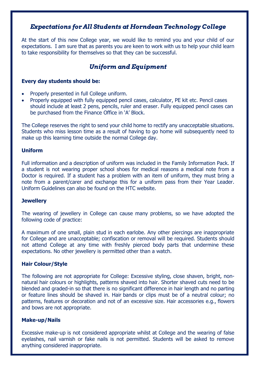## **Expectations for All Students at Horndean Technology College**

At the start of this new College year, we would like to remind you and your child of our expectations. I am sure that as parents you are keen to work with us to help your child learn to take responsibility for themselves so that they can be successful.

## **Uniform and Equipment**

#### **Every day students should be:**

- Properly presented in full College uniform.
- Properly equipped with fully equipped pencil cases, calculator, PE kit etc. Pencil cases should include at least 2 pens, pencils, ruler and eraser. Fully equipped pencil cases can be purchased from the Finance Office in 'A' Block.

The College reserves the right to send your child home to rectify any unacceptable situations. Students who miss lesson time as a result of having to go home will subsequently need to make up this learning time outside the normal College day.

#### **Uniform**

Full information and a description of uniform was included in the Family Information Pack. If a student is not wearing proper school shoes for medical reasons a medical note from a Doctor is required. If a student has a problem with an item of uniform, they must bring a note from a parent/carer and exchange this for a uniform pass from their Year Leader. Uniform Guidelines can also be found on the HTC website.

#### **Jewellery**

The wearing of jewellery in College can cause many problems, so we have adopted the following code of practice:

A maximum of one small, plain stud in each earlobe. Any other piercings are inappropriate for College and are unacceptable; confiscation or removal will be required. Students should not attend College at any time with freshly pierced body parts that undermine these expectations. No other jewellery is permitted other than a watch.

#### **Hair Colour/Style**

The following are not appropriate for College: Excessive styling, close shaven, bright, nonnatural hair colours or highlights, patterns shaved into hair. Shorter shaved cuts need to be blended and graded-in so that there is no significant difference in hair length and no parting or feature lines should be shaved in. Hair bands or clips must be of a neutral colour; no patterns, features or decoration and not of an excessive size. Hair accessories e.g., flowers and bows are not appropriate.

#### **Make-up/Nails**

Excessive make-up is not considered appropriate whilst at College and the wearing of false eyelashes, nail varnish or fake nails is not permitted. Students will be asked to remove anything considered inappropriate.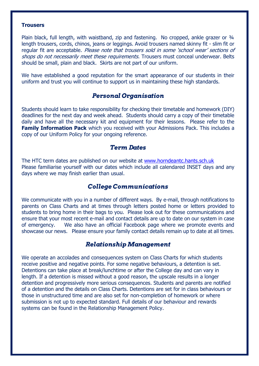#### **Trousers**

Plain black, full length, with waistband, zip and fastening. No cropped, ankle grazer or 3/4 length trousers, cords, chinos, jeans or leggings. Avoid trousers named skinny fit - slim fit or regular fit are acceptable. Please note that trousers sold in some 'school wear' sections of shops do not necessarily meet these requirements. Trousers must conceal underwear. Belts should be small, plain and black. Skirts are not part of our uniform.

We have established a good reputation for the smart appearance of our students in their uniform and trust you will continue to support us in maintaining these high standards.

#### **Personal Organisation**

Students should learn to take responsibility for checking their timetable and homework (DIY) deadlines for the next day and week ahead. Students should carry a copy of their timetable daily and have all the necessary kit and equipment for their lessons. Please refer to the **Family Information Pack** which you received with your Admissions Pack. This includes a copy of our Uniform Policy for your ongoing reference.

#### **Term Dates**

The HTC term dates are published on our website at [www.horndeantc.hants.sch.uk](http://www.horndeantc.hants.sch.uk/) Please familiarise yourself with our dates which include all calendared INSET days and any days where we may finish earlier than usual.

#### **College Communications**

We communicate with you in a number of different ways. By e-mail, through notifications to parents on Class Charts and at times through letters posted home or letters provided to students to bring home in their bags to you. Please look out for these communications and ensure that your most recent e-mail and contact details are up to date on our system in case of emergency. We also have an official Facebook page where we promote events and showcase our news. Please ensure your family contact details remain up to date at all times.

#### **Relationship Management**

We operate an accolades and consequences system on Class Charts for which students receive positive and negative points. For some negative behaviours, a detention is set. Detentions can take place at break/lunchtime or after the College day and can vary in length. If a detention is missed without a good reason, the upscale results in a longer detention and progressively more serious consequences. Students and parents are notified of a detention and the details on Class Charts. Detentions are set for in class behaviours or those in unstructured time and are also set for non-completion of homework or where submission is not up to expected standard. Full details of our behaviour and rewards systems can be found in the Relationship Management Policy.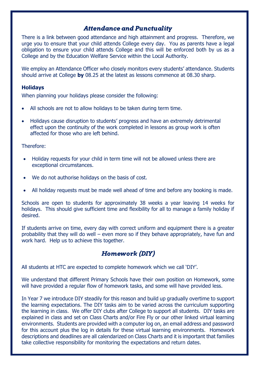## **Attendance and Punctuality**

There is a link between good attendance and high attainment and progress. Therefore, we urge you to ensure that your child attends College every day. You as parents have a legal obligation to ensure your child attends College and this will be enforced both by us as a College and by the Education Welfare Service within the Local Authority.

We employ an Attendance Officer who closely monitors every students' attendance. Students should arrive at College **by** 08.25 at the latest as lessons commence at 08.30 sharp.

#### **Holidays**

When planning your holidays please consider the following:

- All schools are not to allow holidays to be taken during term time.
- Holidays cause disruption to students' progress and have an extremely detrimental effect upon the continuity of the work completed in lessons as group work is often affected for those who are left behind.

#### Therefore:

- Holiday requests for your child in term time will not be allowed unless there are exceptional circumstances.
- We do not authorise holidays on the basis of cost.
- All holiday requests must be made well ahead of time and before any booking is made.

Schools are open to students for approximately 38 weeks a year leaving 14 weeks for holidays. This should give sufficient time and flexibility for all to manage a family holiday if desired.

If students arrive on time, every day with correct uniform and equipment there is a greater probability that they will do well – even more so if they behave appropriately, have fun and work hard. Help us to achieve this together.

## **Homework (DIY)**

All students at HTC are expected to complete homework which we call 'DIY'.

We understand that different Primary Schools have their own position on Homework, some will have provided a regular flow of homework tasks, and some will have provided less.

In Year 7 we introduce DIY steadily for this reason and build up gradually overtime to support the learning expectations. The DIY tasks aim to be varied across the curriculum supporting the learning in class. We offer DIY clubs after College to support all students. DIY tasks are explained in class and set on Class Charts and/or Fire Fly or our other linked virtual learning environments. Students are provided with a computer log on, an email address and password for this account plus the log in details for these virtual learning environments. Homework descriptions and deadlines are all calendarized on Class Charts and it is important that families take collective responsibility for monitoring the expectations and return dates.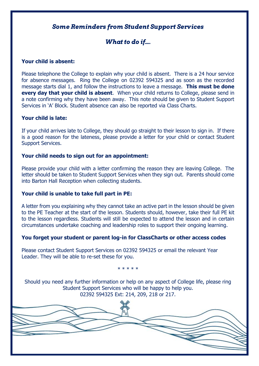## **Some Reminders from Student Support Services**

# **What to do if....**

#### **Your child is absent:**

Please telephone the College to explain why your child is absent. There is a 24 hour service for absence messages. Ring the College on 02392 594325 and as soon as the recorded message starts dial 1, and follow the instructions to leave a message. **This must be done every day that your child is absent**. When your child returns to College, please send in a note confirming why they have been away. This note should be given to Student Support Services in 'A' Block. Student absence can also be reported via Class Charts.

#### **Your child is late:**

If your child arrives late to College, they should go straight to their lesson to sign in. If there is a good reason for the lateness, please provide a letter for your child or contact Student Support Services.

#### **Your child needs to sign out for an appointment:**

Please provide your child with a letter confirming the reason they are leaving College. The letter should be taken to Student Support Services when they sign out. Parents should come into Barton Hall Reception when collecting students.

#### **Your child is unable to take full part in PE:**

A letter from you explaining why they cannot take an active part in the lesson should be given to the PE Teacher at the start of the lesson. Students should, however, take their full PE kit to the lesson regardless. Students will still be expected to attend the lesson and in certain circumstances undertake coaching and leadership roles to support their ongoing learning.

#### **You forget your student or parent log-in for ClassCharts or other access codes**

Please contact Student Support Services on 02392 594325 or email the relevant Year Leader. They will be able to re-set these for you.

\* \* \* \* \*

Should you need any further information or help on any aspect of College life, please ring Student Support Services who will be happy to help you. 02392 594325 Ext: 214, 209, 218 or 217.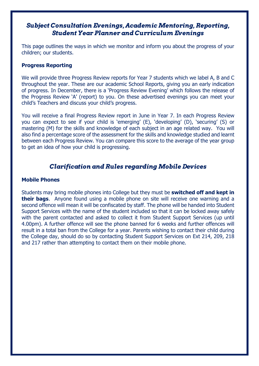## **Subject Consultation Evenings, Academic Mentoring, Reporting, Student Year Planner and Curriculum Evenings**

This page outlines the ways in which we monitor and inform you about the progress of your children; our students.

#### **Progress Reporting**

We will provide three Progress Review reports for Year 7 students which we label A, B and C throughout the year. These are our academic School Reports, giving you an early indication of progress. In December, there is a 'Progress Review Evening' which follows the release of the Progress Review 'A' (report) to you. On these advertised evenings you can meet your child's Teachers and discuss your child's progress.

You will receive a final Progress Review report in June in Year 7. In each Progress Review you can expect to see if your child is 'emerging' (E), 'developing' (D), 'securing' (S) or mastering (M) for the skills and knowledge of each subject in an age related way. You will also find a percentage score of the assessment for the skills and knowledge studied and learnt between each Progress Review. You can compare this score to the average of the year group to get an idea of how your child is progressing.

## **Clarification and Rules regarding Mobile Devices**

#### **Mobile Phones**

Students may bring mobile phones into College but they must be **switched off and kept in their bags**. Anyone found using a mobile phone on site will receive one warning and a second offence will mean it will be confiscated by staff. The phone will be handed into Student Support Services with the name of the student included so that it can be locked away safely with the parent contacted and asked to collect it from Student Support Services (up until 4.00pm). A further offence will see the phone banned for 6 weeks and further offences will result in a total ban from the College for a year. Parents wishing to contact their child during the College day, should do so by contacting Student Support Services on Ext 214, 209, 218 and 217 rather than attempting to contact them on their mobile phone.